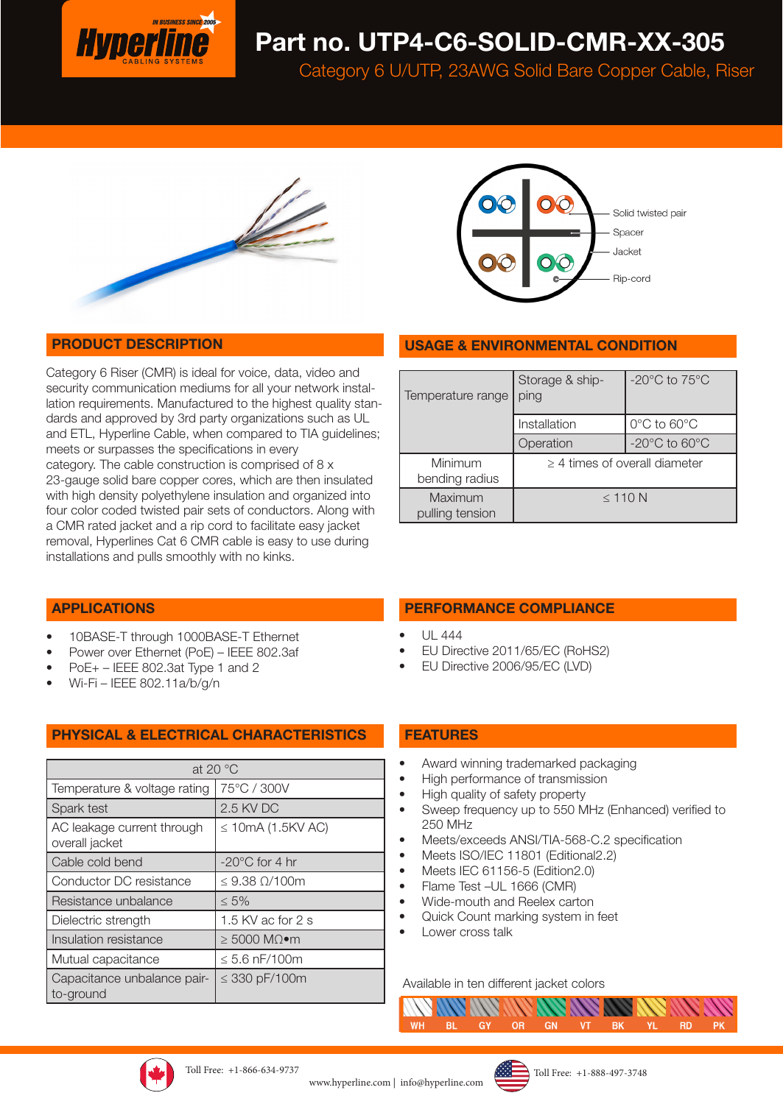

# Part no. UTP4-C6-SOLID-CMR-XX-305

Category 6 U/UTP, 23AWG Solid Bare Copper Cable, Riser





### PRODUCT DESCRIPTION

Category 6 Riser (CMR) is ideal for voice, data, video and security communication mediums for all your network installation requirements. Manufactured to the highest quality standards and approved by 3rd party organizations such as UL and ETL, Hyperline Cable, when compared to TIA guidelines; meets or surpasses the specifications in every category. The cable construction is comprised of 8 x 23-gauge solid bare copper cores, which are then insulated with high density polyethylene insulation and organized into four color coded twisted pair sets of conductors. Along with a CMR rated jacket and a rip cord to facilitate easy jacket removal, Hyperlines Cat 6 CMR cable is easy to use during installations and pulls smoothly with no kinks.

| <b>USAGE &amp; ENVIRONMENTAL CONDITION</b> |                         |                                     |  |  |
|--------------------------------------------|-------------------------|-------------------------------------|--|--|
|                                            |                         |                                     |  |  |
| Temperature range                          | Storage & ship-<br>ping | -20 $^{\circ}$ C to 75 $^{\circ}$ C |  |  |
|                                            | Installation            | $0^{\circ}$ C to 60 $^{\circ}$ C    |  |  |
|                                            | Operation               | $-20^{\circ}$ C to 60 $^{\circ}$ C  |  |  |
| Minimum<br>bending radius                  |                         | $\geq$ 4 times of overall diameter  |  |  |
| Maximum<br>pulling tension                 |                         | $\leq$ 110 N                        |  |  |

### APPLICATIONS

- 10BASE-T through 1000BASE-T Ethernet
- Power over Ethernet (PoE) IEEE 802.3af
- PoE+ IEEE 802.3at Type 1 and 2
- Wi-Fi IEEE 802.11a/b/g/n

### PHYSICAL & ELECTRICAL CHARACTERISTICS

| at 20 $\degree$ C                            |                            |  |  |  |
|----------------------------------------------|----------------------------|--|--|--|
| Temperature & voltage rating                 | 75°C / 300V                |  |  |  |
| Spark test                                   | 2.5 KV DC                  |  |  |  |
| AC leakage current through<br>overall jacket | $\leq$ 10mA (1.5KV AC)     |  |  |  |
| Cable cold bend                              | $-20^{\circ}$ C for 4 hr   |  |  |  |
| Conductor DC resistance                      | $\leq$ 9.38 $\Omega$ /100m |  |  |  |
| Resistance unbalance                         | $\leq 5\%$                 |  |  |  |
| Dielectric strength                          | 1.5 KV ac for 2 s          |  |  |  |
| Insulation resistance                        | $≥ 5000 MΩ$ ∙m             |  |  |  |
| Mutual capacitance                           | $\leq 5.6$ nF/100m         |  |  |  |
| Capacitance unbalance pair-<br>to-ground     | $\leq$ 330 pF/100m         |  |  |  |

### PERFORMANCE COMPLIANCE

- UL 444
- EU Directive 2011/65/EC (RoHS2)
- EU Directive 2006/95/EC (LVD)

#### FEATURES

- Award winning trademarked packaging
- High performance of transmission
- High quality of safety property
- Sweep frequency up to 550 MHz (Enhanced) verified to 250 MHz
- Meets/exceeds ANSI/TIA-568-C.2 specification
- Meets ISO/IEC 11801 (Editional2.2)
- Meets IEC 61156-5 (Edition2.0)
- Flame Test –UL 1666 (CMR)
- Wide-mouth and Reelex carton
- Quick Count marking system in feet
- Lower cross talk

#### Available in ten different jacket colors





www.hyperline.com | info@hyperline.com

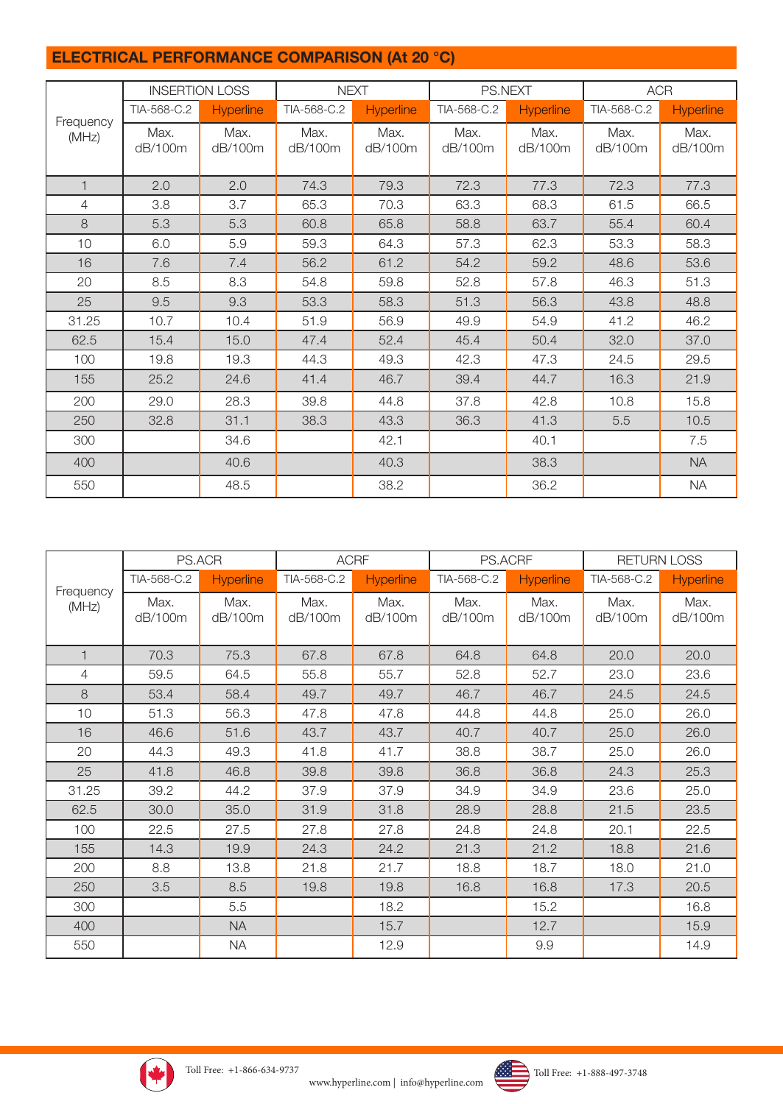## ELECTRICAL PERFORMANCE COMPARISON (At 20 °C)

|              |                 | <b>INSERTION LOSS</b> |                 | <b>NEXT</b>      |                 | PS.NEXT          | <b>ACR</b>      |                  |
|--------------|-----------------|-----------------------|-----------------|------------------|-----------------|------------------|-----------------|------------------|
| Frequency    | TIA-568-C.2     | <b>Hyperline</b>      | TIA-568-C.2     | <b>Hyperline</b> | TIA-568-C.2     | <b>Hyperline</b> | TIA-568-C.2     | <b>Hyperline</b> |
| (MHz)        | Max.<br>dB/100m | Max.<br>dB/100m       | Max.<br>dB/100m | Max.<br>dB/100m  | Max.<br>dB/100m | Max.<br>dB/100m  | Max.<br>dB/100m | Max.<br>dB/100m  |
| $\mathbf{1}$ | 2.0             | 2.0                   | 74.3            | 79.3             | 72.3            | 77.3             | 72.3            | 77.3             |
| 4            | 3.8             | 3.7                   | 65.3            | 70.3             | 63.3            | 68.3             | 61.5            | 66.5             |
| 8            | 5.3             | 5.3                   | 60.8            | 65.8             | 58.8            | 63.7             | 55.4            | 60.4             |
| 10           | 6.0             | 5.9                   | 59.3            | 64.3             | 57.3            | 62.3             | 53.3            | 58.3             |
| 16           | 7.6             | 7.4                   | 56.2            | 61.2             | 54.2            | 59.2             | 48.6            | 53.6             |
| 20           | 8.5             | 8.3                   | 54.8            | 59.8             | 52.8            | 57.8             | 46.3            | 51.3             |
| 25           | 9.5             | 9.3                   | 53.3            | 58.3             | 51.3            | 56.3             | 43.8            | 48.8             |
| 31.25        | 10.7            | 10.4                  | 51.9            | 56.9             | 49.9            | 54.9             | 41.2            | 46.2             |
| 62.5         | 15.4            | 15.0                  | 47.4            | 52.4             | 45.4            | 50.4             | 32.0            | 37.0             |
| 100          | 19.8            | 19.3                  | 44.3            | 49.3             | 42.3            | 47.3             | 24.5            | 29.5             |
| 155          | 25.2            | 24.6                  | 41.4            | 46.7             | 39.4            | 44.7             | 16.3            | 21.9             |
| 200          | 29.0            | 28.3                  | 39.8            | 44.8             | 37.8            | 42.8             | 10.8            | 15.8             |
| 250          | 32.8            | 31.1                  | 38.3            | 43.3             | 36.3            | 41.3             | 5.5             | 10.5             |
| 300          |                 | 34.6                  |                 | 42.1             |                 | 40.1             |                 | 7.5              |
| 400          |                 | 40.6                  |                 | 40.3             |                 | 38.3             |                 | <b>NA</b>        |
| 550          |                 | 48.5                  |                 | 38.2             |                 | 36.2             |                 | <b>NA</b>        |

|              | PS.ACR          |                  | <b>ACRF</b>     |                  | PS.ACRF         |                 | <b>RETURN LOSS</b> |                  |
|--------------|-----------------|------------------|-----------------|------------------|-----------------|-----------------|--------------------|------------------|
| Frequency    | TIA-568-C.2     | <b>Hyperline</b> | TIA-568-C.2     | <b>Hyperline</b> | TIA-568-C.2     | Hyperline       | TIA-568-C.2        | <b>Hyperline</b> |
| (MHz)        | Max.<br>dB/100m | Max.<br>dB/100m  | Max.<br>dB/100m | Max.<br>dB/100m  | Max.<br>dB/100m | Max.<br>dB/100m | Max.<br>dB/100m    | Max.<br>dB/100m  |
| $\mathbf{1}$ | 70.3            | 75.3             | 67.8            | 67.8             | 64.8            | 64.8            | 20.0               | 20.0             |
| 4            | 59.5            | 64.5             | 55.8            | 55.7             | 52.8            | 52.7            | 23.0               | 23.6             |
| 8            | 53.4            | 58.4             | 49.7            | 49.7             | 46.7            | 46.7            | 24.5               | 24.5             |
| 10           | 51.3            | 56.3             | 47.8            | 47.8             | 44.8            | 44.8            | 25.0               | 26.0             |
| 16           | 46.6            | 51.6             | 43.7            | 43.7             | 40.7            | 40.7            | 25.0               | 26.0             |
| 20           | 44.3            | 49.3             | 41.8            | 41.7             | 38.8            | 38.7            | 25.0               | 26.0             |
| 25           | 41.8            | 46.8             | 39.8            | 39.8             | 36.8            | 36.8            | 24.3               | 25.3             |
| 31.25        | 39.2            | 44.2             | 37.9            | 37.9             | 34.9            | 34.9            | 23.6               | 25.0             |
| 62.5         | 30.0            | 35.0             | 31.9            | 31.8             | 28.9            | 28.8            | 21.5               | 23.5             |
| 100          | 22.5            | 27.5             | 27.8            | 27.8             | 24.8            | 24.8            | 20.1               | 22.5             |
| 155          | 14.3            | 19.9             | 24.3            | 24.2             | 21.3            | 21.2            | 18.8               | 21.6             |
| 200          | 8.8             | 13.8             | 21.8            | 21.7             | 18.8            | 18.7            | 18.0               | 21.0             |
| 250          | 3.5             | 8.5              | 19.8            | 19.8             | 16.8            | 16.8            | 17.3               | 20.5             |
| 300          |                 | 5.5              |                 | 18.2             |                 | 15.2            |                    | 16.8             |
| 400          |                 | <b>NA</b>        |                 | 15.7             |                 | 12.7            |                    | 15.9             |
| 550          |                 | <b>NA</b>        |                 | 12.9             |                 | 9.9             |                    | 14.9             |